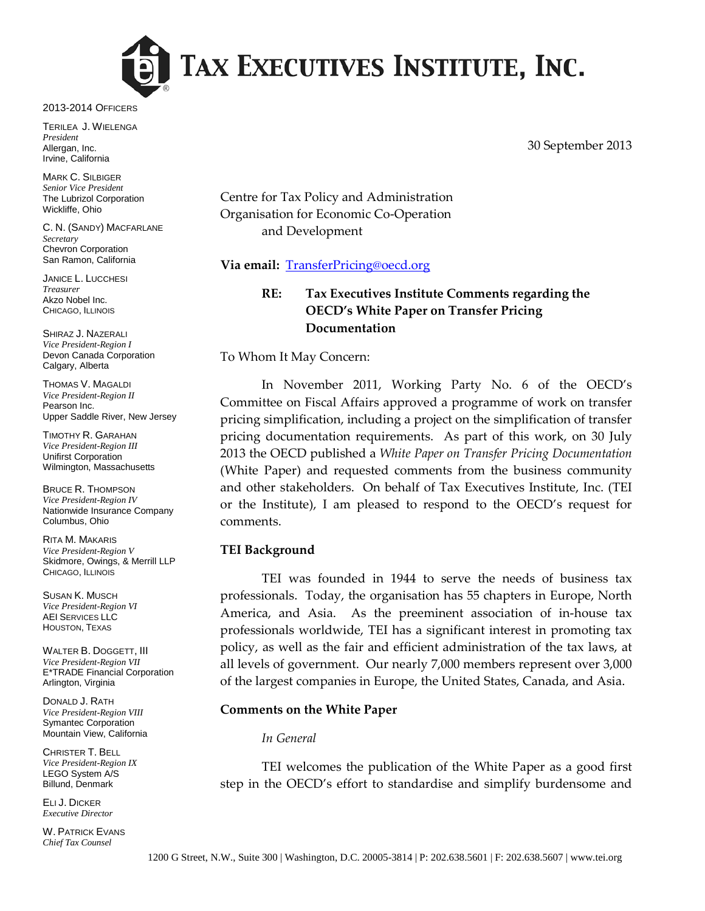

2013-2014 OFFICERS

TERILEA J. WIELENGA *President* Allergan, Inc. Irvine, California

MARK C. SILBIGER *Senior Vice President* The Lubrizol Corporation Wickliffe, Ohio

C. N. (SANDY) MACFARLANE *Secretary* Chevron Corporation San Ramon, California

JANICE L. LUCCHESI *Treasurer* Akzo Nobel Inc. CHICAGO, ILLINOIS

SHIRAZ J. NAZERALI *Vice President-Region I* Devon Canada Corporation Calgary, Alberta

THOMAS V. MAGALDI *Vice President-Region II* Pearson Inc. Upper Saddle River, New Jersey

TIMOTHY R. GARAHAN *Vice President-Region III* Unifirst Corporation Wilmington, Massachusetts

BRUCE R. THOMPSON *Vice President-Region IV* Nationwide Insurance Company Columbus, Ohio

RITA M. MAKARIS *Vice President-Region V* Skidmore, Owings, & Merrill LLP CHICAGO, ILLINOIS

SUSAN K. MUSCH *Vice President-Region VI* AEI SERVICES LLC HOUSTON, TEXAS

WALTER B. DOGGETT, III *Vice President-Region VII* E\*TRADE Financial Corporation Arlington, Virginia

DONALD J. RATH *Vice President-Region VIII* Symantec Corporation Mountain View, California

CHRISTER T. BELL *Vice President-Region IX* LEGO System A/S Billund, Denmark

ELI J. DICKER *Executive Director*

W. PATRICK EVANS *Chief Tax Counsel*

30 September 2013

Centre for Tax Policy and Administration Organisation for Economic Co-Operation and Development

## **Via email:** [TransferPricing@oecd.org](mailto:TransferPricing@oecd.org)

# **RE: Tax Executives Institute Comments regarding the OECD's White Paper on Transfer Pricing Documentation**

To Whom It May Concern:

In November 2011, Working Party No. 6 of the OECD's Committee on Fiscal Affairs approved a programme of work on transfer pricing simplification, including a project on the simplification of transfer pricing documentation requirements. As part of this work, on 30 July 2013 the OECD published a *White Paper on Transfer Pricing Documentation* (White Paper) and requested comments from the business community and other stakeholders. On behalf of Tax Executives Institute, Inc. (TEI or the Institute), I am pleased to respond to the OECD's request for comments.

## **TEI Background**

TEI was founded in 1944 to serve the needs of business tax professionals. Today, the organisation has 55 chapters in Europe, North America, and Asia. As the preeminent association of in-house tax professionals worldwide, TEI has a significant interest in promoting tax policy, as well as the fair and efficient administration of the tax laws, at all levels of government. Our nearly 7,000 members represent over 3,000 of the largest companies in Europe, the United States, Canada, and Asia.

#### **Comments on the White Paper**

#### *In General*

TEI welcomes the publication of the White Paper as a good first step in the OECD's effort to standardise and simplify burdensome and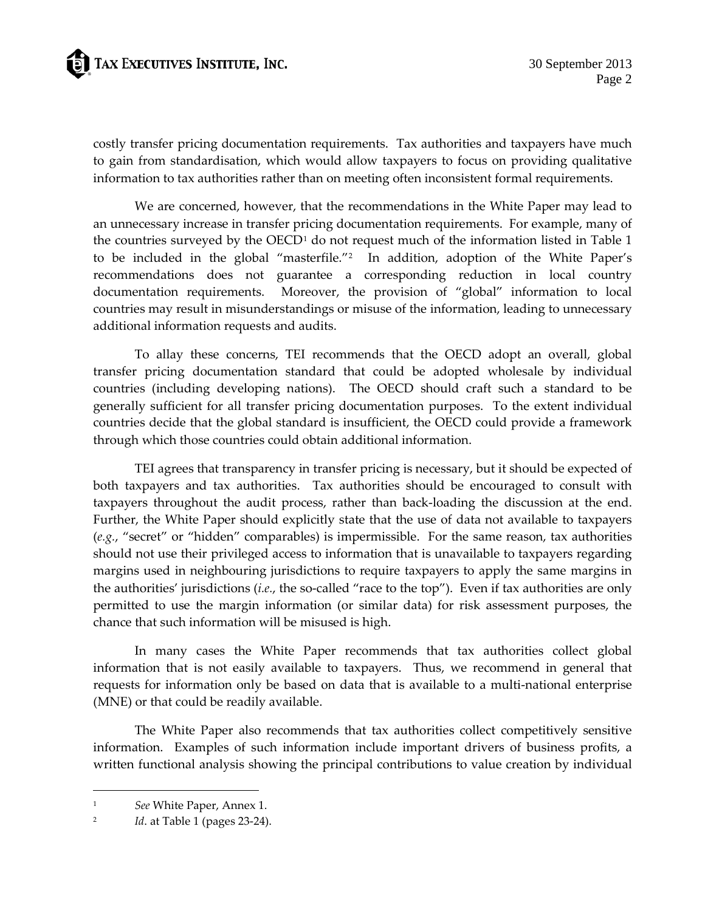# **ED** TAX EXECUTIVES INSTITUTE, INC.

costly transfer pricing documentation requirements. Tax authorities and taxpayers have much to gain from standardisation, which would allow taxpayers to focus on providing qualitative information to tax authorities rather than on meeting often inconsistent formal requirements.

We are concerned, however, that the recommendations in the White Paper may lead to an unnecessary increase in transfer pricing documentation requirements. For example, many of the countries surveyed by the OECD<sup>[1](#page-1-0)</sup> do not request much of the information listed in Table 1 to be included in the global "masterfile."[2](#page-1-1) In addition, adoption of the White Paper's recommendations does not guarantee a corresponding reduction in local country documentation requirements. Moreover, the provision of "global" information to local countries may result in misunderstandings or misuse of the information, leading to unnecessary additional information requests and audits.

To allay these concerns, TEI recommends that the OECD adopt an overall, global transfer pricing documentation standard that could be adopted wholesale by individual countries (including developing nations). The OECD should craft such a standard to be generally sufficient for all transfer pricing documentation purposes. To the extent individual countries decide that the global standard is insufficient, the OECD could provide a framework through which those countries could obtain additional information.

TEI agrees that transparency in transfer pricing is necessary, but it should be expected of both taxpayers and tax authorities. Tax authorities should be encouraged to consult with taxpayers throughout the audit process, rather than back-loading the discussion at the end. Further, the White Paper should explicitly state that the use of data not available to taxpayers (*e.g.*, "secret" or "hidden" comparables) is impermissible. For the same reason, tax authorities should not use their privileged access to information that is unavailable to taxpayers regarding margins used in neighbouring jurisdictions to require taxpayers to apply the same margins in the authorities' jurisdictions (*i.e.*, the so-called "race to the top"). Even if tax authorities are only permitted to use the margin information (or similar data) for risk assessment purposes, the chance that such information will be misused is high.

In many cases the White Paper recommends that tax authorities collect global information that is not easily available to taxpayers. Thus, we recommend in general that requests for information only be based on data that is available to a multi-national enterprise (MNE) or that could be readily available.

The White Paper also recommends that tax authorities collect competitively sensitive information. Examples of such information include important drivers of business profits, a written functional analysis showing the principal contributions to value creation by individual

<span id="page-1-0"></span><sup>1</sup> *See* White Paper, Annex 1.

<span id="page-1-1"></span><sup>2</sup> *Id*. at Table 1 (pages 23-24).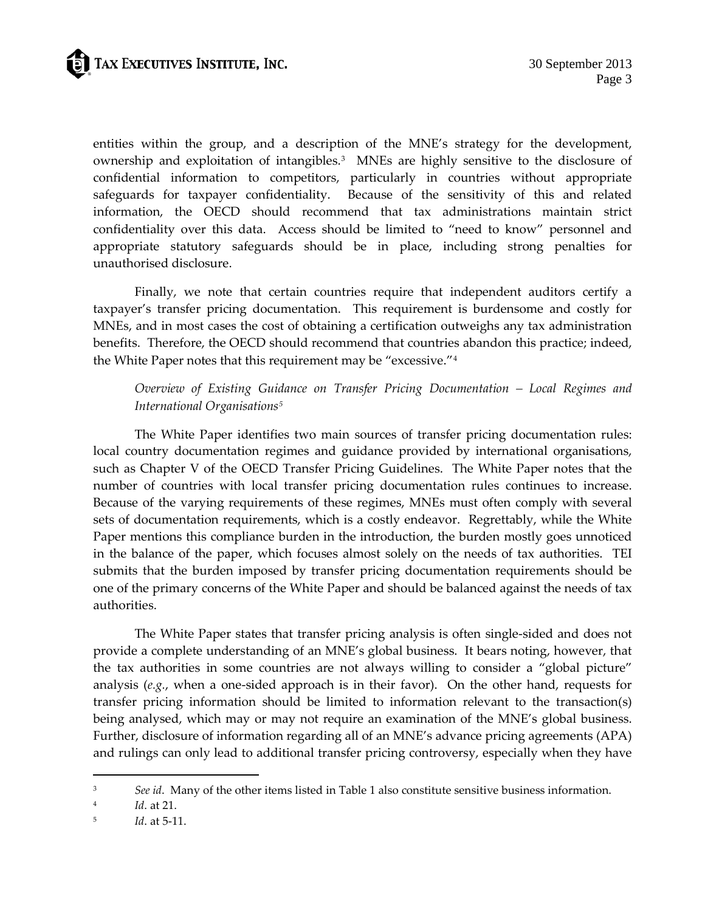entities within the group, and a description of the MNE's strategy for the development, ownership and exploitation of intangibles.[3](#page-2-0) MNEs are highly sensitive to the disclosure of confidential information to competitors, particularly in countries without appropriate safeguards for taxpayer confidentiality. Because of the sensitivity of this and related information, the OECD should recommend that tax administrations maintain strict confidentiality over this data. Access should be limited to "need to know" personnel and appropriate statutory safeguards should be in place, including strong penalties for unauthorised disclosure.

Finally, we note that certain countries require that independent auditors certify a taxpayer's transfer pricing documentation. This requirement is burdensome and costly for MNEs, and in most cases the cost of obtaining a certification outweighs any tax administration benefits. Therefore, the OECD should recommend that countries abandon this practice; indeed, the White Paper notes that this requirement may be "excessive."[4](#page-2-1)

# *Overview of Existing Guidance on Transfer Pricing Documentation – Local Regimes and International Organisations[5](#page-2-2)*

The White Paper identifies two main sources of transfer pricing documentation rules: local country documentation regimes and guidance provided by international organisations, such as Chapter V of the OECD Transfer Pricing Guidelines. The White Paper notes that the number of countries with local transfer pricing documentation rules continues to increase. Because of the varying requirements of these regimes, MNEs must often comply with several sets of documentation requirements, which is a costly endeavor. Regrettably, while the White Paper mentions this compliance burden in the introduction, the burden mostly goes unnoticed in the balance of the paper, which focuses almost solely on the needs of tax authorities. TEI submits that the burden imposed by transfer pricing documentation requirements should be one of the primary concerns of the White Paper and should be balanced against the needs of tax authorities.

The White Paper states that transfer pricing analysis is often single-sided and does not provide a complete understanding of an MNE's global business. It bears noting, however, that the tax authorities in some countries are not always willing to consider a "global picture" analysis (*e.g.*, when a one-sided approach is in their favor). On the other hand, requests for transfer pricing information should be limited to information relevant to the transaction(s) being analysed, which may or may not require an examination of the MNE's global business. Further, disclosure of information regarding all of an MNE's advance pricing agreements (APA) and rulings can only lead to additional transfer pricing controversy, especially when they have

<span id="page-2-0"></span><sup>3</sup> *See id*. Many of the other items listed in Table 1 also constitute sensitive business information.

<span id="page-2-1"></span><sup>4</sup> *Id*. at 21.

<span id="page-2-2"></span><sup>5</sup> *Id*. at 5-11.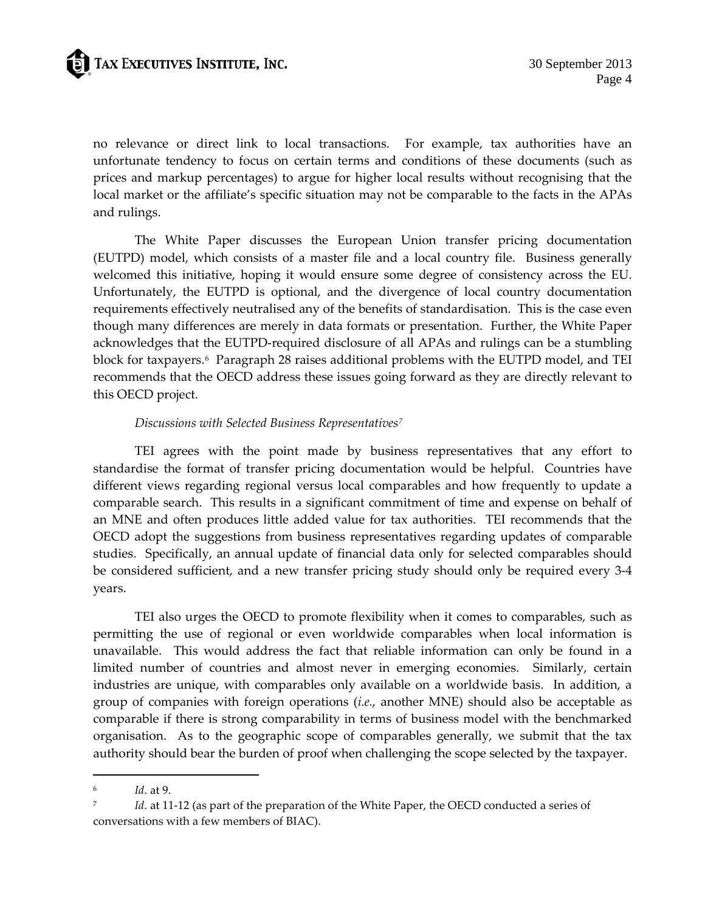no relevance or direct link to local transactions. For example, tax authorities have an unfortunate tendency to focus on certain terms and conditions of these documents (such as prices and markup percentages) to argue for higher local results without recognising that the local market or the affiliate's specific situation may not be comparable to the facts in the APAs and rulings.

The White Paper discusses the European Union transfer pricing documentation (EUTPD) model, which consists of a master file and a local country file. Business generally welcomed this initiative, hoping it would ensure some degree of consistency across the EU. Unfortunately, the EUTPD is optional, and the divergence of local country documentation requirements effectively neutralised any of the benefits of standardisation. This is the case even though many differences are merely in data formats or presentation. Further, the White Paper acknowledges that the EUTPD-required disclosure of all APAs and rulings can be a stumbling block for taxpayers.<sup>[6](#page-3-0)</sup> Paragraph 28 raises additional problems with the EUTPD model, and TEI recommends that the OECD address these issues going forward as they are directly relevant to this OECD project.

## *Discussions with Selected Business Representatives[7](#page-3-1)*

TEI agrees with the point made by business representatives that any effort to standardise the format of transfer pricing documentation would be helpful. Countries have different views regarding regional versus local comparables and how frequently to update a comparable search. This results in a significant commitment of time and expense on behalf of an MNE and often produces little added value for tax authorities. TEI recommends that the OECD adopt the suggestions from business representatives regarding updates of comparable studies. Specifically, an annual update of financial data only for selected comparables should be considered sufficient, and a new transfer pricing study should only be required every 3-4 years.

TEI also urges the OECD to promote flexibility when it comes to comparables, such as permitting the use of regional or even worldwide comparables when local information is unavailable. This would address the fact that reliable information can only be found in a limited number of countries and almost never in emerging economies. Similarly, certain industries are unique, with comparables only available on a worldwide basis. In addition, a group of companies with foreign operations (*i.e.*, another MNE) should also be acceptable as comparable if there is strong comparability in terms of business model with the benchmarked organisation. As to the geographic scope of comparables generally, we submit that the tax authority should bear the burden of proof when challenging the scope selected by the taxpayer.

<span id="page-3-0"></span><sup>6</sup> *Id*. at 9.

<span id="page-3-1"></span><sup>7</sup> *Id*. at 11-12 (as part of the preparation of the White Paper, the OECD conducted a series of conversations with a few members of BIAC).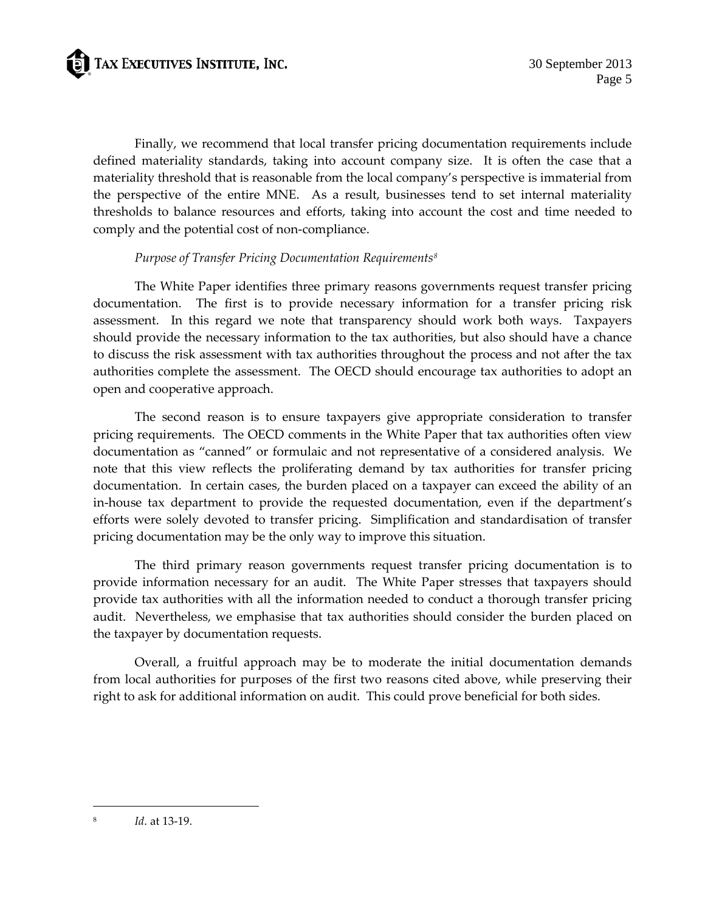

Finally, we recommend that local transfer pricing documentation requirements include defined materiality standards, taking into account company size. It is often the case that a materiality threshold that is reasonable from the local company's perspective is immaterial from the perspective of the entire MNE. As a result, businesses tend to set internal materiality thresholds to balance resources and efforts, taking into account the cost and time needed to comply and the potential cost of non-compliance.

## *Purpose of Transfer Pricing Documentation Requirements[8](#page-4-0)*

The White Paper identifies three primary reasons governments request transfer pricing documentation. The first is to provide necessary information for a transfer pricing risk assessment. In this regard we note that transparency should work both ways. Taxpayers should provide the necessary information to the tax authorities, but also should have a chance to discuss the risk assessment with tax authorities throughout the process and not after the tax authorities complete the assessment. The OECD should encourage tax authorities to adopt an open and cooperative approach.

The second reason is to ensure taxpayers give appropriate consideration to transfer pricing requirements. The OECD comments in the White Paper that tax authorities often view documentation as "canned" or formulaic and not representative of a considered analysis. We note that this view reflects the proliferating demand by tax authorities for transfer pricing documentation. In certain cases, the burden placed on a taxpayer can exceed the ability of an in-house tax department to provide the requested documentation, even if the department's efforts were solely devoted to transfer pricing. Simplification and standardisation of transfer pricing documentation may be the only way to improve this situation.

The third primary reason governments request transfer pricing documentation is to provide information necessary for an audit. The White Paper stresses that taxpayers should provide tax authorities with all the information needed to conduct a thorough transfer pricing audit. Nevertheless, we emphasise that tax authorities should consider the burden placed on the taxpayer by documentation requests.

Overall, a fruitful approach may be to moderate the initial documentation demands from local authorities for purposes of the first two reasons cited above, while preserving their right to ask for additional information on audit. This could prove beneficial for both sides.

<span id="page-4-0"></span><sup>8</sup> *Id*. at 13-19.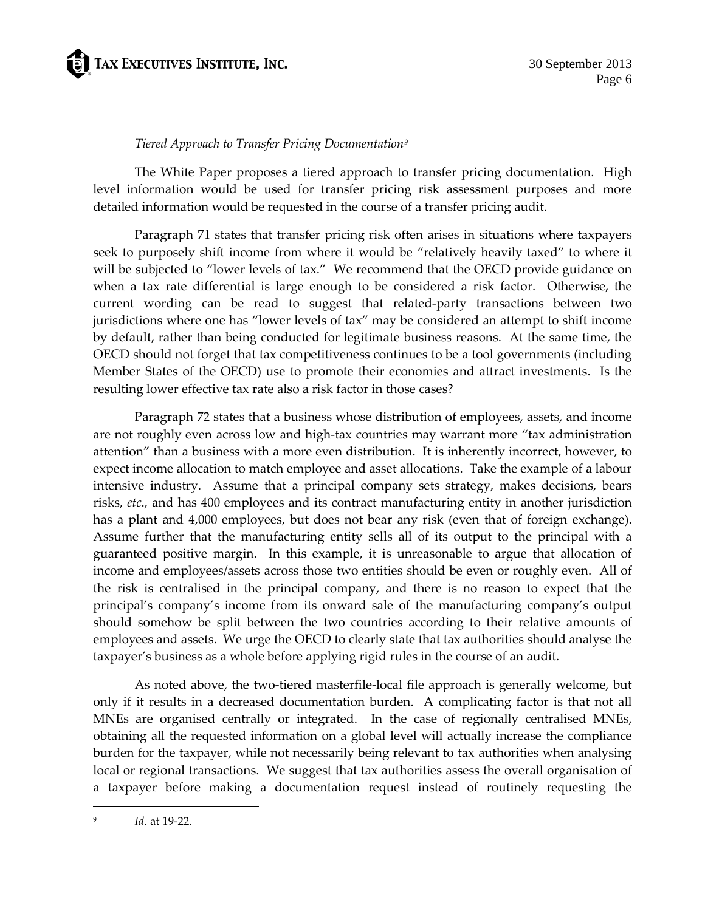

#### *Tiered Approach to Transfer Pricing Documentation[9](#page-5-0)*

The White Paper proposes a tiered approach to transfer pricing documentation. High level information would be used for transfer pricing risk assessment purposes and more detailed information would be requested in the course of a transfer pricing audit.

Paragraph 71 states that transfer pricing risk often arises in situations where taxpayers seek to purposely shift income from where it would be "relatively heavily taxed" to where it will be subjected to "lower levels of tax." We recommend that the OECD provide guidance on when a tax rate differential is large enough to be considered a risk factor. Otherwise, the current wording can be read to suggest that related-party transactions between two jurisdictions where one has "lower levels of tax" may be considered an attempt to shift income by default, rather than being conducted for legitimate business reasons. At the same time, the OECD should not forget that tax competitiveness continues to be a tool governments (including Member States of the OECD) use to promote their economies and attract investments. Is the resulting lower effective tax rate also a risk factor in those cases?

Paragraph 72 states that a business whose distribution of employees, assets, and income are not roughly even across low and high-tax countries may warrant more "tax administration attention" than a business with a more even distribution. It is inherently incorrect, however, to expect income allocation to match employee and asset allocations. Take the example of a labour intensive industry. Assume that a principal company sets strategy, makes decisions, bears risks, *etc*., and has 400 employees and its contract manufacturing entity in another jurisdiction has a plant and 4,000 employees, but does not bear any risk (even that of foreign exchange). Assume further that the manufacturing entity sells all of its output to the principal with a guaranteed positive margin. In this example, it is unreasonable to argue that allocation of income and employees/assets across those two entities should be even or roughly even. All of the risk is centralised in the principal company, and there is no reason to expect that the principal's company's income from its onward sale of the manufacturing company's output should somehow be split between the two countries according to their relative amounts of employees and assets. We urge the OECD to clearly state that tax authorities should analyse the taxpayer's business as a whole before applying rigid rules in the course of an audit.

As noted above, the two-tiered masterfile-local file approach is generally welcome, but only if it results in a decreased documentation burden. A complicating factor is that not all MNEs are organised centrally or integrated. In the case of regionally centralised MNEs, obtaining all the requested information on a global level will actually increase the compliance burden for the taxpayer, while not necessarily being relevant to tax authorities when analysing local or regional transactions. We suggest that tax authorities assess the overall organisation of a taxpayer before making a documentation request instead of routinely requesting the

<span id="page-5-0"></span><sup>9</sup> *Id*. at 19-22.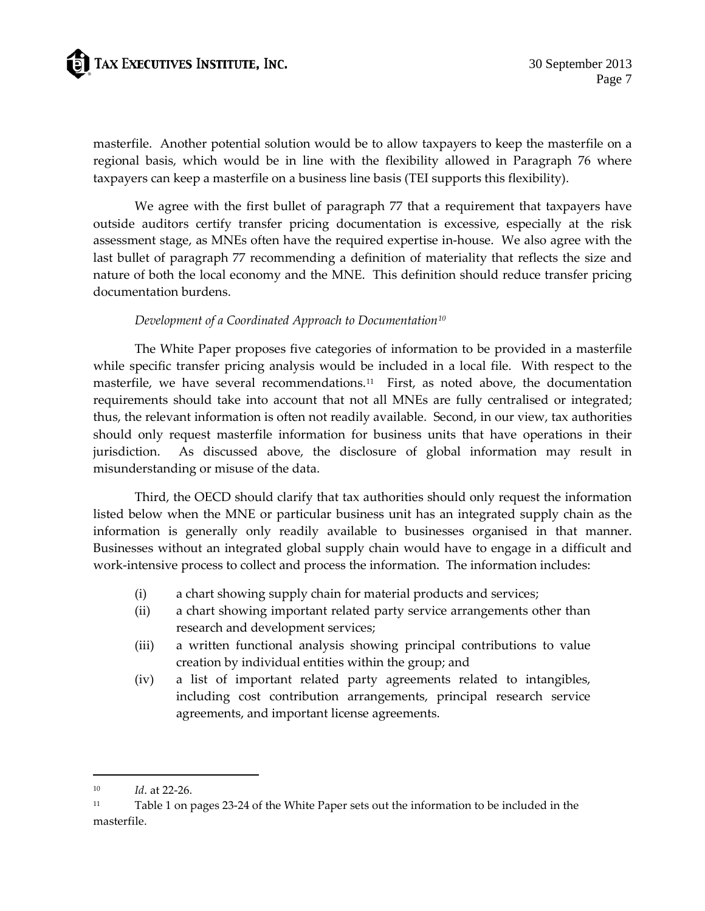# TAX EXECUTIVES INSTITUTE, INC.

masterfile. Another potential solution would be to allow taxpayers to keep the masterfile on a regional basis, which would be in line with the flexibility allowed in Paragraph 76 where taxpayers can keep a masterfile on a business line basis (TEI supports this flexibility).

We agree with the first bullet of paragraph 77 that a requirement that taxpayers have outside auditors certify transfer pricing documentation is excessive, especially at the risk assessment stage, as MNEs often have the required expertise in-house. We also agree with the last bullet of paragraph 77 recommending a definition of materiality that reflects the size and nature of both the local economy and the MNE. This definition should reduce transfer pricing documentation burdens.

## *Development of a Coordinated Approach to Documentation[10](#page-6-0)*

The White Paper proposes five categories of information to be provided in a masterfile while specific transfer pricing analysis would be included in a local file. With respect to the masterfile, we have several recommendations.[11](#page-6-1) First, as noted above, the documentation requirements should take into account that not all MNEs are fully centralised or integrated; thus, the relevant information is often not readily available. Second, in our view, tax authorities should only request masterfile information for business units that have operations in their jurisdiction. As discussed above, the disclosure of global information may result in misunderstanding or misuse of the data.

Third, the OECD should clarify that tax authorities should only request the information listed below when the MNE or particular business unit has an integrated supply chain as the information is generally only readily available to businesses organised in that manner. Businesses without an integrated global supply chain would have to engage in a difficult and work-intensive process to collect and process the information. The information includes:

- (i) a chart showing supply chain for material products and services;
- (ii) a chart showing important related party service arrangements other than research and development services;
- (iii) a written functional analysis showing principal contributions to value creation by individual entities within the group; and
- (iv) a list of important related party agreements related to intangibles, including cost contribution arrangements, principal research service agreements, and important license agreements.

<span id="page-6-0"></span><sup>10</sup> *Id*. at 22-26.

<span id="page-6-1"></span><sup>11</sup> Table 1 on pages 23-24 of the White Paper sets out the information to be included in the masterfile.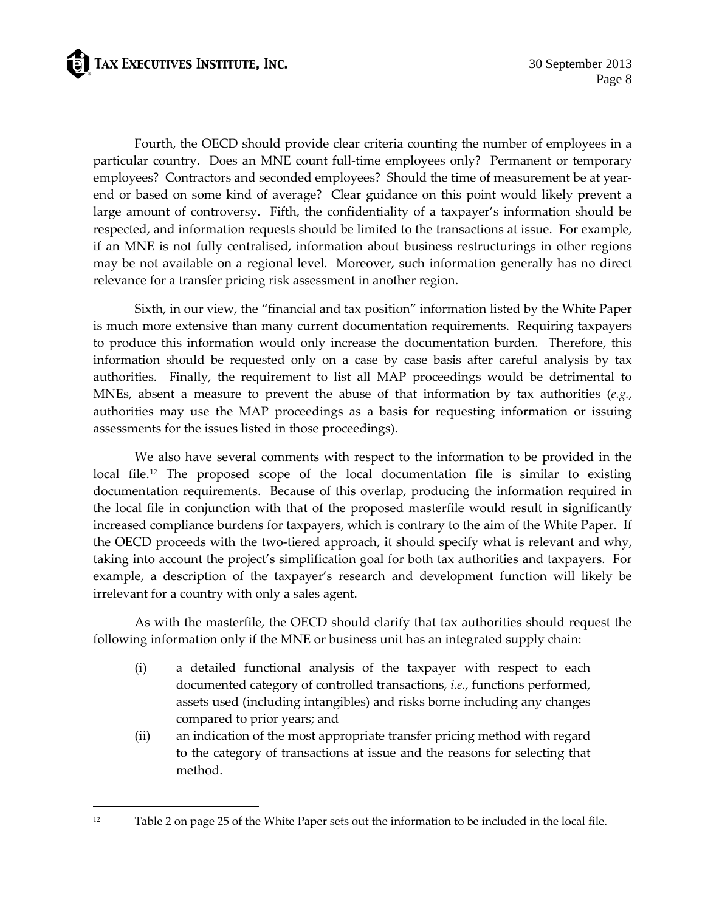**ED** TAX EXECUTIVES INSTITUTE, INC.

 $\overline{a}$ 

Fourth, the OECD should provide clear criteria counting the number of employees in a particular country. Does an MNE count full-time employees only? Permanent or temporary employees? Contractors and seconded employees? Should the time of measurement be at yearend or based on some kind of average? Clear guidance on this point would likely prevent a large amount of controversy. Fifth, the confidentiality of a taxpayer's information should be respected, and information requests should be limited to the transactions at issue. For example, if an MNE is not fully centralised, information about business restructurings in other regions may be not available on a regional level. Moreover, such information generally has no direct relevance for a transfer pricing risk assessment in another region.

Sixth, in our view, the "financial and tax position" information listed by the White Paper is much more extensive than many current documentation requirements. Requiring taxpayers to produce this information would only increase the documentation burden. Therefore, this information should be requested only on a case by case basis after careful analysis by tax authorities. Finally, the requirement to list all MAP proceedings would be detrimental to MNEs, absent a measure to prevent the abuse of that information by tax authorities (*e.g.*, authorities may use the MAP proceedings as a basis for requesting information or issuing assessments for the issues listed in those proceedings).

We also have several comments with respect to the information to be provided in the local file.<sup>[12](#page-7-0)</sup> The proposed scope of the local documentation file is similar to existing documentation requirements. Because of this overlap, producing the information required in the local file in conjunction with that of the proposed masterfile would result in significantly increased compliance burdens for taxpayers, which is contrary to the aim of the White Paper. If the OECD proceeds with the two-tiered approach, it should specify what is relevant and why, taking into account the project's simplification goal for both tax authorities and taxpayers. For example, a description of the taxpayer's research and development function will likely be irrelevant for a country with only a sales agent.

As with the masterfile, the OECD should clarify that tax authorities should request the following information only if the MNE or business unit has an integrated supply chain:

- (i) a detailed functional analysis of the taxpayer with respect to each documented category of controlled transactions, *i.e.*, functions performed, assets used (including intangibles) and risks borne including any changes compared to prior years; and
- (ii) an indication of the most appropriate transfer pricing method with regard to the category of transactions at issue and the reasons for selecting that method.

<span id="page-7-0"></span><sup>12</sup> Table 2 on page 25 of the White Paper sets out the information to be included in the local file.